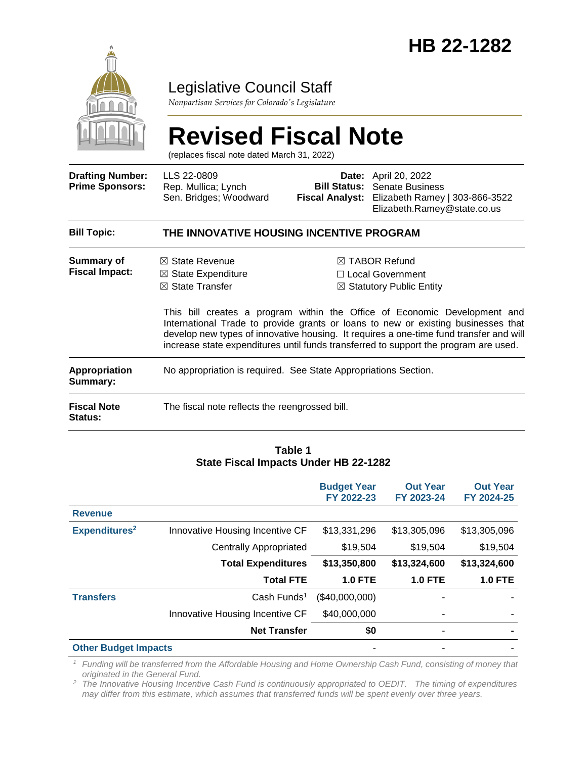

# Legislative Council Staff

*Nonpartisan Services for Colorado's Legislature*

# **Revised Fiscal Note**

(replaces fiscal note dated March 31, 2022)

| <b>Drafting Number:</b><br><b>Prime Sponsors:</b> | LLS 22-0809<br>Rep. Mullica; Lynch<br>Sen. Bridges; Woodward                             | <b>Date:</b> April 20, 2022<br><b>Bill Status:</b> Senate Business<br>Fiscal Analyst: Elizabeth Ramey   303-866-3522<br>Elizabeth.Ramey@state.co.us                                                                                                                                                                                                                                                                                            |
|---------------------------------------------------|------------------------------------------------------------------------------------------|------------------------------------------------------------------------------------------------------------------------------------------------------------------------------------------------------------------------------------------------------------------------------------------------------------------------------------------------------------------------------------------------------------------------------------------------|
| <b>Bill Topic:</b>                                | THE INNOVATIVE HOUSING INCENTIVE PROGRAM                                                 |                                                                                                                                                                                                                                                                                                                                                                                                                                                |
| Summary of<br><b>Fiscal Impact:</b>               | $\boxtimes$ State Revenue<br>$\boxtimes$ State Expenditure<br>$\boxtimes$ State Transfer | $\boxtimes$ TABOR Refund<br>$\Box$ Local Government<br>$\boxtimes$ Statutory Public Entity<br>This bill creates a program within the Office of Economic Development and<br>International Trade to provide grants or loans to new or existing businesses that<br>develop new types of innovative housing. It requires a one-time fund transfer and will<br>increase state expenditures until funds transferred to support the program are used. |
| <b>Appropriation</b><br>Summary:                  | No appropriation is required. See State Appropriations Section.                          |                                                                                                                                                                                                                                                                                                                                                                                                                                                |
| <b>Fiscal Note</b><br>Status:                     | The fiscal note reflects the reengrossed bill.                                           |                                                                                                                                                                                                                                                                                                                                                                                                                                                |

#### **Table 1 State Fiscal Impacts Under HB 22-1282**

|                             |                                 | <b>Budget Year</b><br>FY 2022-23 | <b>Out Year</b><br>FY 2023-24 | <b>Out Year</b><br>FY 2024-25 |
|-----------------------------|---------------------------------|----------------------------------|-------------------------------|-------------------------------|
| <b>Revenue</b>              |                                 |                                  |                               |                               |
| Expenditures <sup>2</sup>   | Innovative Housing Incentive CF | \$13,331,296                     | \$13,305,096                  | \$13,305,096                  |
|                             | Centrally Appropriated          | \$19,504                         | \$19,504                      | \$19,504                      |
|                             | <b>Total Expenditures</b>       | \$13,350,800                     | \$13,324,600                  | \$13,324,600                  |
|                             | <b>Total FTE</b>                | <b>1.0 FTE</b>                   | <b>1.0 FTE</b>                | <b>1.0 FTE</b>                |
| <b>Transfers</b>            | Cash Funds <sup>1</sup>         | (\$40,000,000)                   |                               |                               |
|                             | Innovative Housing Incentive CF | \$40,000,000                     | ٠                             |                               |
|                             | <b>Net Transfer</b>             | \$0                              | $\blacksquare$                |                               |
| <b>Other Budget Impacts</b> |                                 |                                  |                               |                               |

*<sup>1</sup> Funding will be transferred from the Affordable Housing and Home Ownership Cash Fund, consisting of money that originated in the General Fund.*

*<sup>2</sup> The Innovative Housing Incentive Cash Fund is continuously appropriated to OEDIT. The timing of expenditures may differ from this estimate, which assumes that transferred funds will be spent evenly over three years.*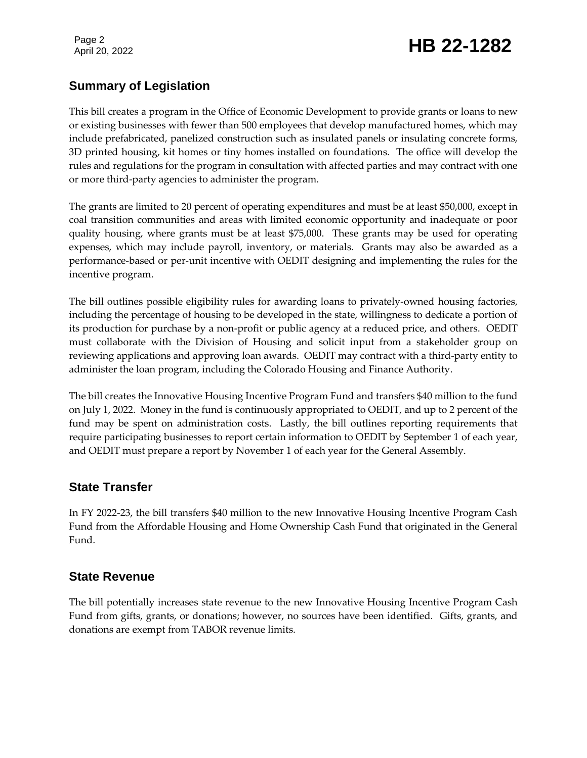Page 2

# Page 2<br>April 20, 2022 **HB 22-1282**

### **Summary of Legislation**

This bill creates a program in the Office of Economic Development to provide grants or loans to new or existing businesses with fewer than 500 employees that develop manufactured homes, which may include prefabricated, panelized construction such as insulated panels or insulating concrete forms, 3D printed housing, kit homes or tiny homes installed on foundations. The office will develop the rules and regulations for the program in consultation with affected parties and may contract with one or more third-party agencies to administer the program.

The grants are limited to 20 percent of operating expenditures and must be at least \$50,000, except in coal transition communities and areas with limited economic opportunity and inadequate or poor quality housing, where grants must be at least \$75,000. These grants may be used for operating expenses, which may include payroll, inventory, or materials. Grants may also be awarded as a performance-based or per-unit incentive with OEDIT designing and implementing the rules for the incentive program.

The bill outlines possible eligibility rules for awarding loans to privately-owned housing factories, including the percentage of housing to be developed in the state, willingness to dedicate a portion of its production for purchase by a non-profit or public agency at a reduced price, and others. OEDIT must collaborate with the Division of Housing and solicit input from a stakeholder group on reviewing applications and approving loan awards. OEDIT may contract with a third-party entity to administer the loan program, including the Colorado Housing and Finance Authority.

The bill creates the Innovative Housing Incentive Program Fund and transfers \$40 million to the fund on July 1, 2022. Money in the fund is continuously appropriated to OEDIT, and up to 2 percent of the fund may be spent on administration costs. Lastly, the bill outlines reporting requirements that require participating businesses to report certain information to OEDIT by September 1 of each year, and OEDIT must prepare a report by November 1 of each year for the General Assembly.

#### **State Transfer**

In FY 2022-23, the bill transfers \$40 million to the new Innovative Housing Incentive Program Cash Fund from the Affordable Housing and Home Ownership Cash Fund that originated in the General Fund.

#### **State Revenue**

The bill potentially increases state revenue to the new Innovative Housing Incentive Program Cash Fund from gifts, grants, or donations; however, no sources have been identified. Gifts, grants, and donations are exempt from TABOR revenue limits.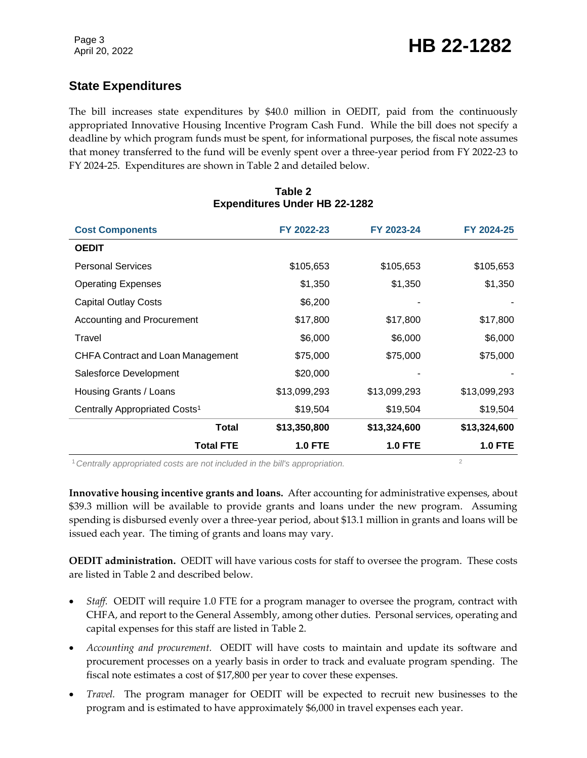## **State Expenditures**

The bill increases state expenditures by \$40.0 million in OEDIT, paid from the continuously appropriated Innovative Housing Incentive Program Cash Fund. While the bill does not specify a deadline by which program funds must be spent, for informational purposes, the fiscal note assumes that money transferred to the fund will be evenly spent over a three-year period from FY 2022-23 to FY 2024-25. Expenditures are shown in Table 2 and detailed below.

| <b>Cost Components</b>                    | FY 2022-23     | FY 2023-24     | FY 2024-25     |
|-------------------------------------------|----------------|----------------|----------------|
| <b>OEDIT</b>                              |                |                |                |
| <b>Personal Services</b>                  | \$105,653      | \$105,653      | \$105,653      |
| <b>Operating Expenses</b>                 | \$1,350        | \$1,350        | \$1,350        |
| <b>Capital Outlay Costs</b>               | \$6,200        |                |                |
| Accounting and Procurement                | \$17,800       | \$17,800       | \$17,800       |
| Travel                                    | \$6,000        | \$6,000        | \$6,000        |
| <b>CHFA Contract and Loan Management</b>  | \$75,000       | \$75,000       | \$75,000       |
| Salesforce Development                    | \$20,000       |                |                |
| Housing Grants / Loans                    | \$13,099,293   | \$13,099,293   | \$13,099,293   |
| Centrally Appropriated Costs <sup>1</sup> | \$19,504       | \$19,504       | \$19,504       |
| Total                                     | \$13,350,800   | \$13,324,600   | \$13,324,600   |
| <b>Total FTE</b>                          | <b>1.0 FTE</b> | <b>1.0 FTE</b> | <b>1.0 FTE</b> |

#### **Table 2 Expenditures Under HB 22-1282**

<sup>1</sup> Centrally appropriated costs are not included in the bill's appropriation.

**Innovative housing incentive grants and loans.** After accounting for administrative expenses, about \$39.3 million will be available to provide grants and loans under the new program. Assuming spending is disbursed evenly over a three-year period, about \$13.1 million in grants and loans will be issued each year. The timing of grants and loans may vary.

**OEDIT administration.** OEDIT will have various costs for staff to oversee the program. These costs are listed in Table 2 and described below.

- *Staff.* OEDIT will require 1.0 FTE for a program manager to oversee the program, contract with CHFA, and report to the General Assembly, among other duties. Personal services, operating and capital expenses for this staff are listed in Table 2.
- *Accounting and procurement.* OEDIT will have costs to maintain and update its software and procurement processes on a yearly basis in order to track and evaluate program spending. The fiscal note estimates a cost of \$17,800 per year to cover these expenses.
- *Travel.* The program manager for OEDIT will be expected to recruit new businesses to the program and is estimated to have approximately \$6,000 in travel expenses each year.